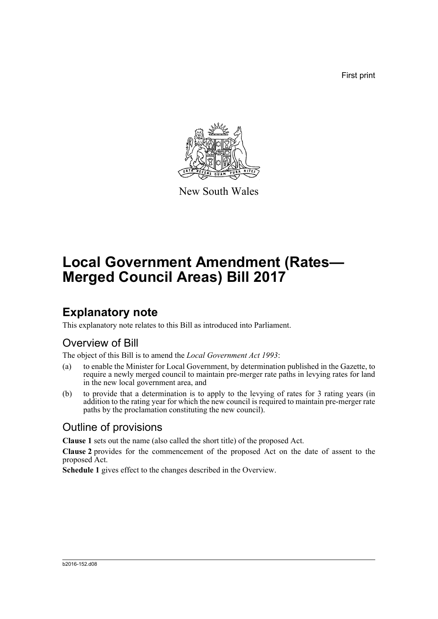First print



New South Wales

# **Local Government Amendment (Rates— Merged Council Areas) Bill 2017**

## **Explanatory note**

This explanatory note relates to this Bill as introduced into Parliament.

### Overview of Bill

The object of this Bill is to amend the *Local Government Act 1993*:

- (a) to enable the Minister for Local Government, by determination published in the Gazette, to require a newly merged council to maintain pre-merger rate paths in levying rates for land in the new local government area, and
- (b) to provide that a determination is to apply to the levying of rates for 3 rating years (in addition to the rating year for which the new council is required to maintain pre-merger rate paths by the proclamation constituting the new council).

### Outline of provisions

**Clause 1** sets out the name (also called the short title) of the proposed Act.

**Clause 2** provides for the commencement of the proposed Act on the date of assent to the proposed Act.

**Schedule 1** gives effect to the changes described in the Overview.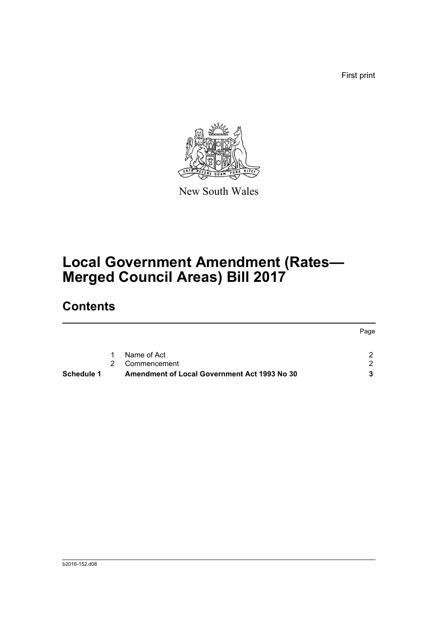First print



New South Wales

# **Local Government Amendment (Rates— Merged Council Areas) Bill 2017**

## **Contents**

|            |   |                                              | Page |
|------------|---|----------------------------------------------|------|
|            | 1 | Name of Act                                  | 2    |
|            |   | Commencement                                 | 2    |
| Schedule 1 |   | Amendment of Local Government Act 1993 No 30 | 3    |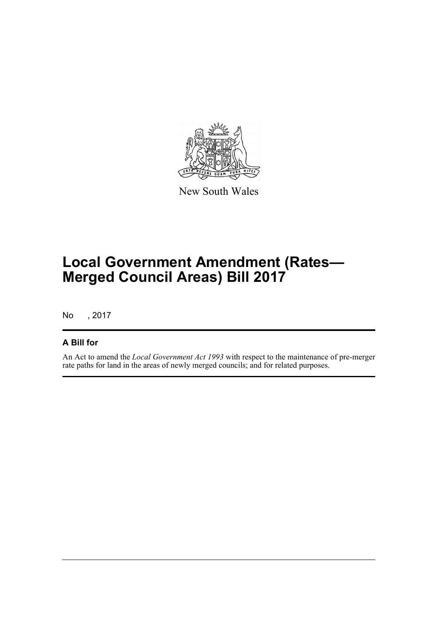

New South Wales

# **Local Government Amendment (Rates— Merged Council Areas) Bill 2017**

No , 2017

#### **A Bill for**

An Act to amend the *Local Government Act 1993* with respect to the maintenance of pre-merger rate paths for land in the areas of newly merged councils; and for related purposes.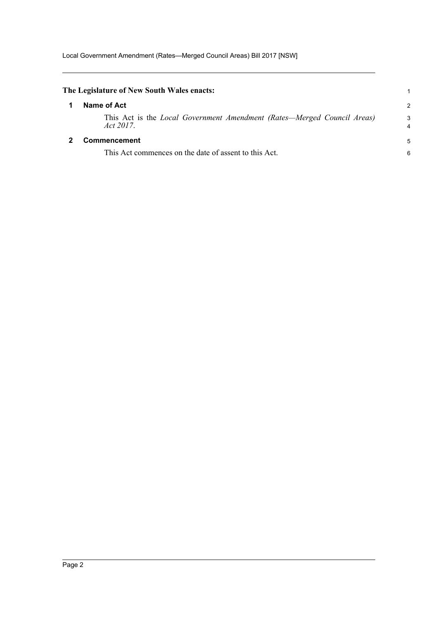<span id="page-3-1"></span><span id="page-3-0"></span>

| The Legislature of New South Wales enacts:                                              |               |
|-----------------------------------------------------------------------------------------|---------------|
| Name of Act                                                                             | $\mathcal{P}$ |
| This Act is the Local Government Amendment (Rates—Merged Council Areas)<br>Act $2017$ . | 3             |
| Commencement<br>This Act commences on the date of assent to this Act.                   | 5<br>6        |
|                                                                                         |               |